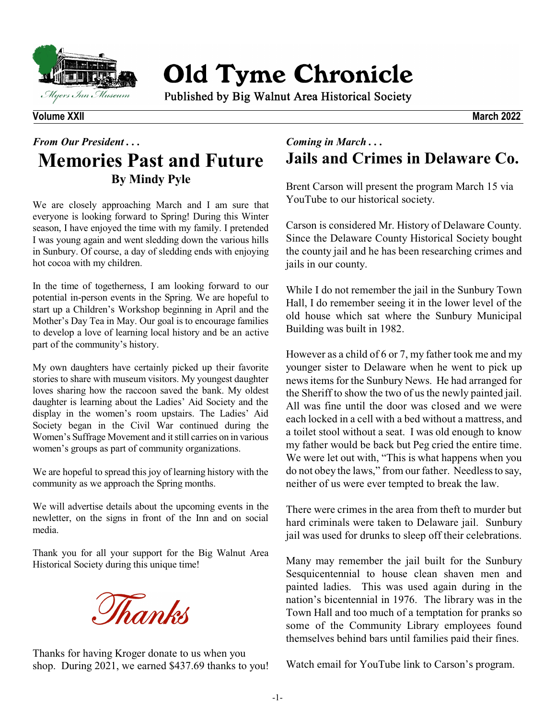

**Old Tyme Chronicle** 

Published by Big Walnut Area Historical Society

## **Volume XXII March 2022**

## *From Our President . . .*  **Memories Past and Future By Mindy Pyle**

We are closely approaching March and I am sure that everyone is looking forward to Spring! During this Winter season, I have enjoyed the time with my family. I pretended I was young again and went sledding down the various hills in Sunbury. Of course, a day of sledding ends with enjoying hot cocoa with my children.

In the time of togetherness, I am looking forward to our potential in-person events in the Spring. We are hopeful to start up a Children's Workshop beginning in April and the Mother's Day Tea in May. Our goal is to encourage families to develop a love of learning local history and be an active part of the community's history.

My own daughters have certainly picked up their favorite stories to share with museum visitors. My youngest daughter loves sharing how the raccoon saved the bank. My oldest daughter is learning about the Ladies' Aid Society and the display in the women's room upstairs. The Ladies' Aid Society began in the Civil War continued during the Women's Suffrage Movement and itstill carries on in various women's groups as part of community organizations.

We are hopeful to spread this joy of learning history with the community as we approach the Spring months.

We will advertise details about the upcoming events in the newletter, on the signs in front of the Inn and on social media.

Thank you for all your support for the Big Walnut Area Historical Society during this unique time!



Thanks for having Kroger donate to us when you shop. During 2021, we earned \$437.69 thanks to you!

## *Coming in March . . .* **Jails and Crimes in Delaware Co.**

Brent Carson will present the program March 15 via YouTube to our historical society.

Carson is considered Mr. History of Delaware County. Since the Delaware County Historical Society bought the county jail and he has been researching crimes and jails in our county.

While I do not remember the jail in the Sunbury Town Hall, I do remember seeing it in the lower level of the old house which sat where the Sunbury Municipal Building was built in 1982.

However as a child of 6 or 7, my father took me and my younger sister to Delaware when he went to pick up news items for the Sunbury News. He had arranged for the Sheriff to show the two of us the newly painted jail. All was fine until the door was closed and we were each locked in a cell with a bed without a mattress, and a toilet stool without a seat. I was old enough to know my father would be back but Peg cried the entire time. We were let out with, "This is what happens when you do not obey the laws," from our father. Needlessto say, neither of us were ever tempted to break the law.

There were crimes in the area from theft to murder but hard criminals were taken to Delaware jail. Sunbury jail was used for drunks to sleep off their celebrations.

Many may remember the jail built for the Sunbury Sesquicentennial to house clean shaven men and painted ladies. This was used again during in the nation's bicentennial in 1976. The library was in the Town Hall and too much of a temptation for pranks so some of the Community Library employees found themselves behind bars until families paid their fines.

Watch email for YouTube link to Carson's program.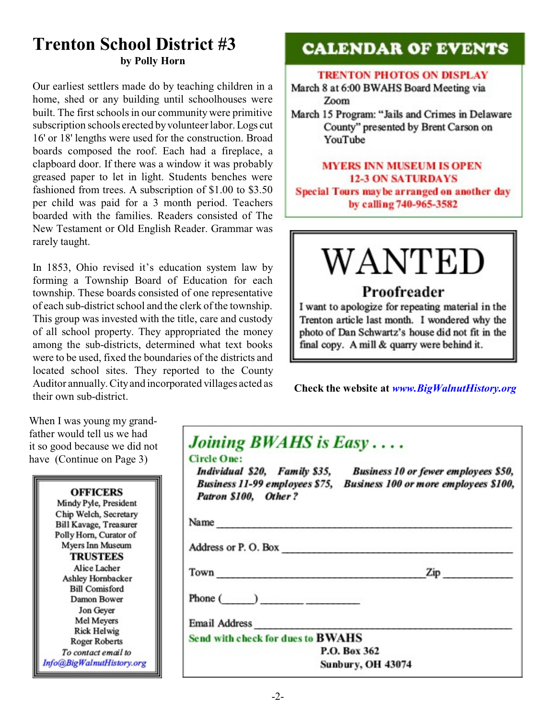## **Trenton School District #3 by Polly Horn**

Our earliest settlers made do by teaching children in a home, shed or any building until schoolhouses were built. The first schools in our community were primitive subscription schools erected byvolunteer labor. Logs cut 16' or 18' lengths were used for the construction. Broad boards composed the roof. Each had a fireplace, a clapboard door. If there was a window it was probably greased paper to let in light. Students benches were fashioned from trees. A subscription of \$1.00 to \$3.50 per child was paid for a 3 month period. Teachers boarded with the families. Readers consisted of The New Testament or Old English Reader. Grammar was rarely taught.

In 1853, Ohio revised it's education system law by forming a Township Board of Education for each township. These boards consisted of one representative of each sub-district school and the clerk of the township. This group was invested with the title, care and custody of all school property. They appropriated the money among the sub-districts, determined what text books were to be used, fixed the boundaries of the districts and located school sites. They reported to the County Auditor annually. Cityand incorporated villages acted as their own sub-district.

When I was young my grandfather would tell us we had it so good because we did not have (Continue on Page 3)

| <b>OFFICERS</b>           |  |
|---------------------------|--|
| Mindy Pyle, President     |  |
| Chip Welch, Secretary     |  |
| Bill Kavage, Treasurer    |  |
| Polly Horn, Curator of    |  |
| Myers Inn Museum          |  |
| <b>TRUSTEES</b>           |  |
| Alice Lacher              |  |
| Ashley Hornbacker         |  |
| <b>Bill Comisford</b>     |  |
| Damon Bower               |  |
| Jon Geyer                 |  |
| Mel Meyers                |  |
| <b>Rick Helwig</b>        |  |
| <b>Roger Roberts</b>      |  |
| To contact email to       |  |
| Info@BigWalnutHistory.org |  |
|                           |  |

# **CALENDAR OF EVENTS**

## **TRENTON PHOTOS ON DISPLAY**

March 8 at 6:00 BWAHS Board Meeting via Zoom

March 15 Program: "Jails and Crimes in Delaware County" presented by Brent Carson on YouTube

## **MYERS INN MUSEUM IS OPEN 12-3 ON SATURDAYS** Special Tours may be arranged on another day by calling 740-965-3582

# WANTED

## Proofreader

I want to apologize for repeating material in the Trenton article last month. I wondered why the photo of Dan Schwartz's house did not fit in the final copy. A mill & quarry were behind it.

 **Check the website at** *www.BigWalnutHistory.org*

| Joining BWAHS is Easy<br><b>Circle One:</b><br>Patron \$100, Other? | Individual \$20, Family \$35, Business 10 or fewer employees \$50,<br>Business 11-99 employees \$75, Business 100 or more employees \$100, |
|---------------------------------------------------------------------|--------------------------------------------------------------------------------------------------------------------------------------------|
| Name                                                                |                                                                                                                                            |
| Address or P.O. Box                                                 |                                                                                                                                            |
| Town                                                                | $\mathsf{Zip}$                                                                                                                             |
| Phone $($ )                                                         |                                                                                                                                            |
| Email Address <b>Email</b>                                          |                                                                                                                                            |
| Send with check for dues to BWAHS                                   |                                                                                                                                            |
|                                                                     | P.O. Box 362                                                                                                                               |
|                                                                     | <b>Sunbury, OH 43074</b>                                                                                                                   |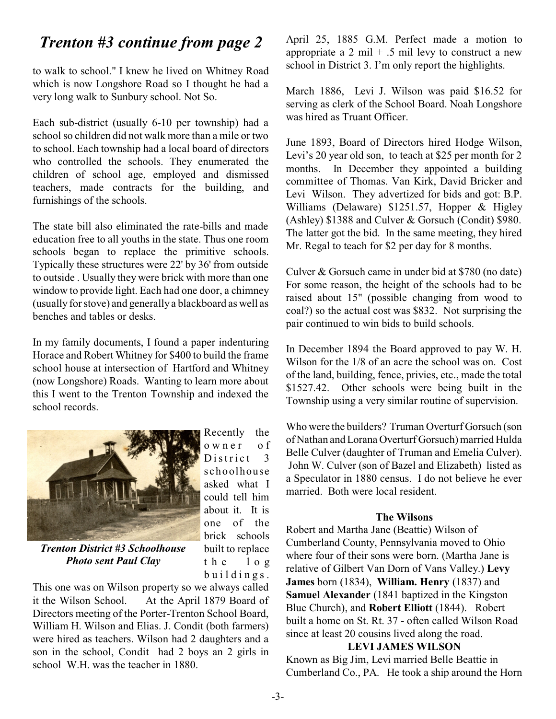# *Trenton #3 continue from page 2*

to walk to school." I knew he lived on Whitney Road which is now Longshore Road so I thought he had a very long walk to Sunbury school. Not So.

Each sub-district (usually 6-10 per township) had a school so children did not walk more than a mile or two to school. Each township had a local board of directors who controlled the schools. They enumerated the children of school age, employed and dismissed teachers, made contracts for the building, and furnishings of the schools.

The state bill also eliminated the rate-bills and made education free to all youths in the state. Thus one room schools began to replace the primitive schools. Typically these structures were 22' by 36' from outside to outside . Usually they were brick with more than one window to provide light. Each had one door, a chimney (usually for stove) and generally a blackboard as well as benches and tables or desks.

In my family documents, I found a paper indenturing Horace and Robert Whitney for \$400 to build the frame school house at intersection of Hartford and Whitney (now Longshore) Roads. Wanting to learn more about this I went to the Trenton Township and indexed the school records.



*Trenton District #3 Schoolhouse Photo sent Paul Clay*

This one was on Wilson property so we always called it the Wilson School. At the April 1879 Board of Directors meeting of the Porter-Trenton School Board, William H. Wilson and Elias. J. Condit (both farmers) were hired as teachers. Wilson had 2 daughters and a son in the school, Condit had 2 boys an 2 girls in school W.H. was the teacher in 1880.

April 25, 1885 G.M. Perfect made a motion to appropriate a 2 mil + .5 mil levy to construct a new school in District 3. I'm only report the highlights.

March 1886, Levi J. Wilson was paid \$16.52 for serving as clerk of the School Board. Noah Longshore was hired as Truant Officer.

June 1893, Board of Directors hired Hodge Wilson, Levi's 20 year old son, to teach at \$25 per month for 2 months. In December they appointed a building committee of Thomas. Van Kirk, David Bricker and Levi Wilson. They advertized for bids and got: B.P. Williams (Delaware) \$1251.57, Hopper & Higley (Ashley) \$1388 and Culver & Gorsuch (Condit) \$980. The latter got the bid. In the same meeting, they hired Mr. Regal to teach for \$2 per day for 8 months.

Culver & Gorsuch came in under bid at \$780 (no date) For some reason, the height of the schools had to be raised about 15" (possible changing from wood to coal?) so the actual cost was \$832. Not surprising the pair continued to win bids to build schools.

In December 1894 the Board approved to pay W. H. Wilson for the 1/8 of an acre the school was on. Cost of the land, building, fence, privies, etc., made the total \$1527.42. Other schools were being built in the Township using a very similar routine of supervision.

Who were the builders? Truman Overturf Gorsuch (son of Nathan and Lorana Overturf Gorsuch) married Hulda Belle Culver (daughter of Truman and Emelia Culver). John W. Culver (son of Bazel and Elizabeth) listed as a Speculator in 1880 census. I do not believe he ever married. Both were local resident.

### **The Wilsons**

Robert and Martha Jane (Beattie) Wilson of Cumberland County, Pennsylvania moved to Ohio where four of their sons were born. (Martha Jane is relative of Gilbert Van Dorn of Vans Valley.) **Levy James** born (1834), **William. Henry** (1837) and **Samuel Alexander** (1841 baptized in the Kingston Blue Church), and **Robert Elliott** (1844). Robert built a home on St. Rt. 37 - often called Wilson Road since at least 20 cousins lived along the road.

### **LEVI JAMES WILSON**

Known as Big Jim, Levi married Belle Beattie in Cumberland Co., PA. He took a ship around the Horn

Recently the o w n e r o f District  $3$ schoolhouse asked what I could tell him about it. It is one of the brick schools built to replace t h e l o g  $b$  u i  $l$  d i n g s.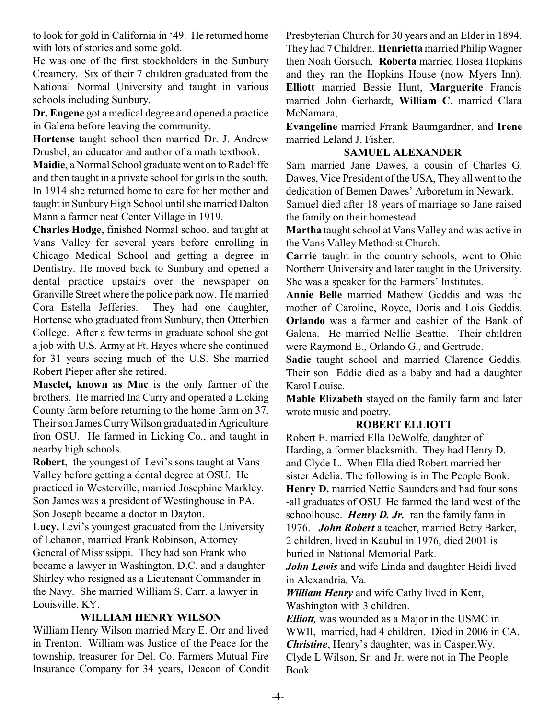to look for gold in California in '49. He returned home with lots of stories and some gold.

He was one of the first stockholders in the Sunbury Creamery. Six of their 7 children graduated from the National Normal University and taught in various schools including Sunbury.

**Dr. Eugene** got a medical degree and opened a practice in Galena before leaving the community.

**Hortense** taught school then married Dr. J. Andrew Drushel, an educator and author of a math textbook.

**Maidie**, a Normal School graduate went on to Radcliffe and then taught in a private school for girls in the south. In 1914 she returned home to care for her mother and taught in Sunbury High School until she married Dalton Mann a farmer neat Center Village in 1919.

**Charles Hodge**, finished Normal school and taught at Vans Valley for several years before enrolling in Chicago Medical School and getting a degree in Dentistry. He moved back to Sunbury and opened a dental practice upstairs over the newspaper on Granville Street where the police park now. He married Cora Estella Jefferies. They had one daughter, Hortense who graduated from Sunbury, then Otterbien College. After a few terms in graduate school she got a job with U.S. Army at Ft. Hayes where she continued for 31 years seeing much of the U.S. She married Robert Pieper after she retired.

**Masclet, known as Mac** is the only farmer of the brothers. He married Ina Curry and operated a Licking County farm before returning to the home farm on 37. Their son James Curry Wilson graduated in Agriculture fron OSU. He farmed in Licking Co., and taught in nearby high schools.

**Robert**, the youngest of Levi's sons taught at Vans Valley before getting a dental degree at OSU. He practiced in Westerville, married Josephine Markley. Son James was a president of Westinghouse in PA. Son Joseph became a doctor in Dayton.

**Lucy,** Levi's youngest graduated from the University of Lebanon, married Frank Robinson, Attorney General of Mississippi. They had son Frank who became a lawyer in Washington, D.C. and a daughter Shirley who resigned as a Lieutenant Commander in the Navy. She married William S. Carr. a lawyer in Louisville, KY.

## **WILLIAM HENRY WILSON**

William Henry Wilson married Mary E. Orr and lived in Trenton. William was Justice of the Peace for the township, treasurer for Del. Co. Farmers Mutual Fire Insurance Company for 34 years, Deacon of Condit Presbyterian Church for 30 years and an Elder in 1894. Theyhad 7 Children. **Henrietta**married Philip Wagner then Noah Gorsuch. **Roberta** married Hosea Hopkins and they ran the Hopkins House (now Myers Inn). **Elliott** married Bessie Hunt, **Marguerite** Francis married John Gerhardt, **William C**. married Clara McNamara,

**Evangeline** married Frrank Baumgardner, and **Irene** married Leland J. Fisher.

## **SAMUEL ALEXANDER**

Sam married Jane Dawes, a cousin of Charles G. Dawes, Vice President of the USA, They all went to the dedication of Bemen Dawes' Arboretum in Newark.

Samuel died after 18 years of marriage so Jane raised the family on their homestead.

**Martha** taught school at Vans Valley and was active in the Vans Valley Methodist Church.

**Carrie** taught in the country schools, went to Ohio Northern University and later taught in the University. She was a speaker for the Farmers' Institutes.

**Annie Belle** married Mathew Geddis and was the mother of Caroline, Royce, Doris and Lois Geddis. **Orlando** was a farmer and cashier of the Bank of Galena. He married Nellie Beattie. Their children were Raymond E., Orlando G., and Gertrude.

**Sadie** taught school and married Clarence Geddis. Their son Eddie died as a baby and had a daughter Karol Louise.

**Mable Elizabeth** stayed on the family farm and later wrote music and poetry.

### **ROBERT ELLIOTT**

Robert E. married Ella DeWolfe, daughter of Harding, a former blacksmith. They had Henry D. and Clyde L. When Ella died Robert married her sister Adelia. The following is in The People Book. Henry D. married Nettie Saunders and had four sons -all graduates of OSU. He farmed the land west of the schoolhouse. *Henry D. Jr.* ran the family farm in 1976. *John Robert* a teacher, married Betty Barker, 2 children, lived in Kaubul in 1976, died 2001 is buried in National Memorial Park.

*John Lewis* and wife Linda and daughter Heidi lived in Alexandria, Va.

*William Henry* and wife Cathy lived in Kent, Washington with 3 children.

*Elliott,* was wounded as a Major in the USMC in WWII, married, had 4 children. Died in 2006 in CA. *Christine*, Henry's daughter, was in Casper,Wy. Clyde L Wilson, Sr. and Jr. were not in The People Book.